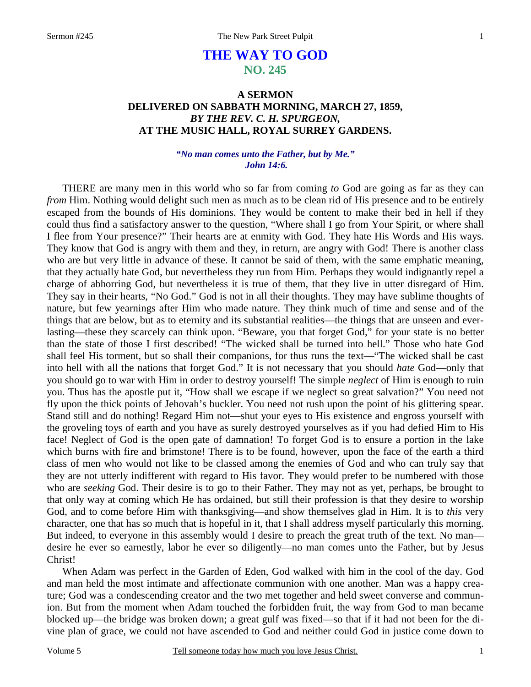# **THE WAY TO GOD NO. 245**

## **A SERMON DELIVERED ON SABBATH MORNING, MARCH 27, 1859,**  *BY THE REV. C. H. SPURGEON,*  **AT THE MUSIC HALL, ROYAL SURREY GARDENS.**

#### *"No man comes unto the Father, but by Me." John 14:6.*

THERE are many men in this world who so far from coming *to* God are going as far as they can *from* Him. Nothing would delight such men as much as to be clean rid of His presence and to be entirely escaped from the bounds of His dominions. They would be content to make their bed in hell if they could thus find a satisfactory answer to the question, "Where shall I go from Your Spirit, or where shall I flee from Your presence?" Their hearts are at enmity with God. They hate His Words and His ways. They know that God is angry with them and they, in return, are angry with God! There is another class who are but very little in advance of these. It cannot be said of them, with the same emphatic meaning, that they actually hate God, but nevertheless they run from Him. Perhaps they would indignantly repel a charge of abhorring God, but nevertheless it is true of them, that they live in utter disregard of Him. They say in their hearts, "No God." God is not in all their thoughts. They may have sublime thoughts of nature, but few yearnings after Him who made nature. They think much of time and sense and of the things that are below, but as to eternity and its substantial realities—the things that are unseen and everlasting—these they scarcely can think upon. "Beware, you that forget God," for your state is no better than the state of those I first described! "The wicked shall be turned into hell." Those who hate God shall feel His torment, but so shall their companions, for thus runs the text—"The wicked shall be cast into hell with all the nations that forget God." It is not necessary that you should *hate* God—only that you should go to war with Him in order to destroy yourself! The simple *neglect* of Him is enough to ruin you. Thus has the apostle put it, "How shall we escape if we neglect so great salvation?" You need not fly upon the thick points of Jehovah's buckler. You need not rush upon the point of his glittering spear. Stand still and do nothing! Regard Him not—shut your eyes to His existence and engross yourself with the groveling toys of earth and you have as surely destroyed yourselves as if you had defied Him to His face! Neglect of God is the open gate of damnation! To forget God is to ensure a portion in the lake which burns with fire and brimstone! There is to be found, however, upon the face of the earth a third class of men who would not like to be classed among the enemies of God and who can truly say that they are not utterly indifferent with regard to His favor. They would prefer to be numbered with those who are *seeking* God. Their desire is to go to their Father. They may not as yet, perhaps, be brought to that only way at coming which He has ordained, but still their profession is that they desire to worship God, and to come before Him with thanksgiving—and show themselves glad in Him. It is to *this* very character, one that has so much that is hopeful in it, that I shall address myself particularly this morning. But indeed, to everyone in this assembly would I desire to preach the great truth of the text. No man desire he ever so earnestly, labor he ever so diligently—no man comes unto the Father, but by Jesus Christ!

When Adam was perfect in the Garden of Eden, God walked with him in the cool of the day. God and man held the most intimate and affectionate communion with one another. Man was a happy creature; God was a condescending creator and the two met together and held sweet converse and communion. But from the moment when Adam touched the forbidden fruit, the way from God to man became blocked up—the bridge was broken down; a great gulf was fixed—so that if it had not been for the divine plan of grace, we could not have ascended to God and neither could God in justice come down to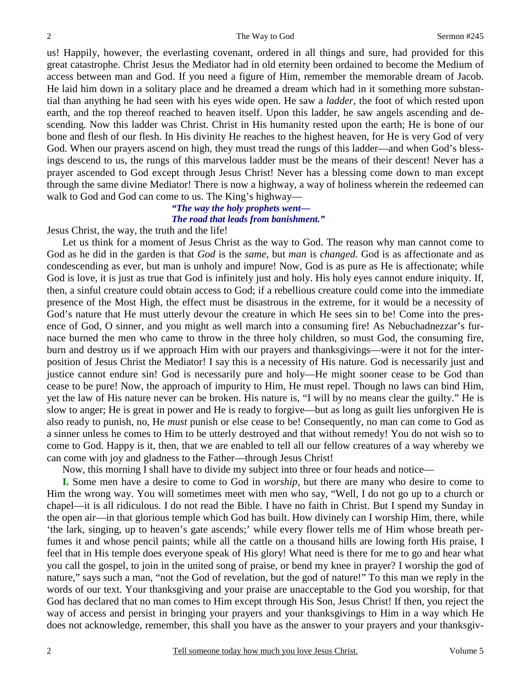us! Happily, however, the everlasting covenant, ordered in all things and sure, had provided for this great catastrophe. Christ Jesus the Mediator had in old eternity been ordained to become the Medium of access between man and God. If you need a figure of Him, remember the memorable dream of Jacob. He laid him down in a solitary place and he dreamed a dream which had in it something more substantial than anything he had seen with his eyes wide open. He saw a *ladder,* the foot of which rested upon earth, and the top thereof reached to heaven itself. Upon this ladder, he saw angels ascending and descending. Now this ladder was Christ. Christ in His humanity rested upon the earth; He is bone of our bone and flesh of our flesh. In His divinity He reaches to the highest heaven, for He is very God of very God. When our prayers ascend on high, they must tread the rungs of this ladder—and when God's blessings descend to us, the rungs of this marvelous ladder must be the means of their descent! Never has a prayer ascended to God except through Jesus Christ! Never has a blessing come down to man except through the same divine Mediator! There is now a highway, a way of holiness wherein the redeemed can walk to God and God can come to us. The King's highway—

### *"The way the holy prophets went— The road that leads from banishment."*

Jesus Christ, the way, the truth and the life!

 Let us think for a moment of Jesus Christ as the way to God. The reason why man cannot come to God as he did in the garden is that *God* is the *same*, but *man* is *changed*. God is as affectionate and as condescending as ever, but man is unholy and impure! Now, God is as pure as He is affectionate; while God is love, it is just as true that God is infinitely just and holy. His holy eyes cannot endure iniquity. If, then, a sinful creature could obtain access to God; if a rebellious creature could come into the immediate presence of the Most High, the effect must be disastrous in the extreme, for it would be a necessity of God's nature that He must utterly devour the creature in which He sees sin to be! Come into the presence of God, O sinner, and you might as well march into a consuming fire! As Nebuchadnezzar's furnace burned the men who came to throw in the three holy children, so must God, the consuming fire, burn and destroy us if we approach Him with our prayers and thanksgivings—were it not for the interposition of Jesus Christ the Mediator! I say this is a necessity of His nature. God is necessarily just and justice cannot endure sin! God is necessarily pure and holy—He might sooner cease to be God than cease to be pure! Now, the approach of impurity to Him, He must repel. Though no laws can bind Him, yet the law of His nature never can be broken. His nature is, "I will by no means clear the guilty." He is slow to anger; He is great in power and He is ready to forgive—but as long as guilt lies unforgiven He is also ready to punish, no, He *must* punish or else cease to be! Consequently, no man can come to God as a sinner unless he comes to Him to be utterly destroyed and that without remedy! You do not wish so to come to God. Happy is it, then, that we are enabled to tell all our fellow creatures of a way whereby we can come with joy and gladness to the Father—through Jesus Christ!

Now, this morning I shall have to divide my subject into three or four heads and notice—

**I.** Some men have a desire to come to God in *worship,* but there are many who desire to come to Him the wrong way. You will sometimes meet with men who say, "Well, I do not go up to a church or chapel—it is all ridiculous. I do not read the Bible. I have no faith in Christ. But I spend my Sunday in the open air—in that glorious temple which God has built. How divinely can I worship Him, there, while 'the lark, singing, up to heaven's gate ascends;' while every flower tells me of Him whose breath perfumes it and whose pencil paints; while all the cattle on a thousand hills are lowing forth His praise, I feel that in His temple does everyone speak of His glory! What need is there for me to go and hear what you call the gospel, to join in the united song of praise, or bend my knee in prayer? I worship the god of nature," says such a man, "not the God of revelation, but the god of nature!" To this man we reply in the words of our text. Your thanksgiving and your praise are unacceptable to the God you worship, for that God has declared that no man comes to Him except through His Son, Jesus Christ! If then, you reject the way of access and persist in bringing your prayers and your thanksgivings to Him in a way which He does not acknowledge, remember, this shall you have as the answer to your prayers and your thanksgiv-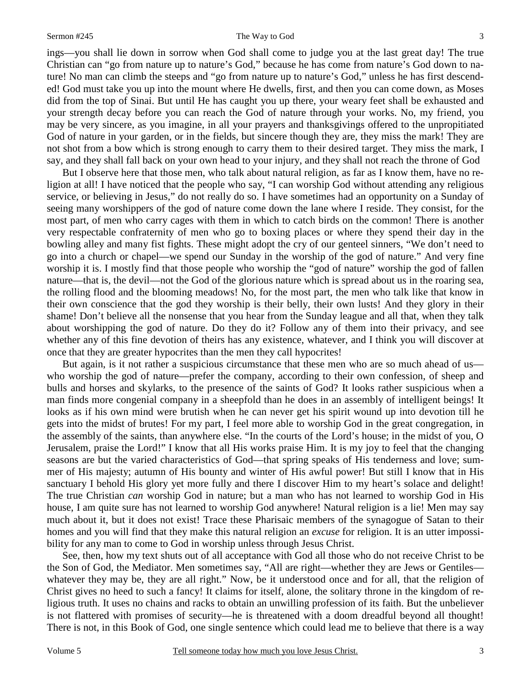#### Sermon #245 The Way to God

ings—you shall lie down in sorrow when God shall come to judge you at the last great day! The true Christian can "go from nature up to nature's God," because he has come from nature's God down to nature! No man can climb the steeps and "go from nature up to nature's God," unless he has first descended! God must take you up into the mount where He dwells, first, and then you can come down, as Moses did from the top of Sinai. But until He has caught you up there, your weary feet shall be exhausted and your strength decay before you can reach the God of nature through your works. No, my friend, you may be very sincere, as you imagine, in all your prayers and thanksgivings offered to the unpropitiated God of nature in your garden, or in the fields, but sincere though they are, they miss the mark! They are not shot from a bow which is strong enough to carry them to their desired target. They miss the mark, I say, and they shall fall back on your own head to your injury, and they shall not reach the throne of God

But I observe here that those men, who talk about natural religion, as far as I know them, have no religion at all! I have noticed that the people who say, "I can worship God without attending any religious service, or believing in Jesus," do not really do so. I have sometimes had an opportunity on a Sunday of seeing many worshippers of the god of nature come down the lane where I reside. They consist, for the most part, of men who carry cages with them in which to catch birds on the common! There is another very respectable confraternity of men who go to boxing places or where they spend their day in the bowling alley and many fist fights. These might adopt the cry of our genteel sinners, "We don't need to go into a church or chapel—we spend our Sunday in the worship of the god of nature." And very fine worship it is. I mostly find that those people who worship the "god of nature" worship the god of fallen nature—that is, the devil—not the God of the glorious nature which is spread about us in the roaring sea, the rolling flood and the blooming meadows! No, for the most part, the men who talk like that know in their own conscience that the god they worship is their belly, their own lusts! And they glory in their shame! Don't believe all the nonsense that you hear from the Sunday league and all that, when they talk about worshipping the god of nature. Do they do it? Follow any of them into their privacy, and see whether any of this fine devotion of theirs has any existence, whatever, and I think you will discover at once that they are greater hypocrites than the men they call hypocrites!

But again, is it not rather a suspicious circumstance that these men who are so much ahead of us who worship the god of nature—prefer the company, according to their own confession, of sheep and bulls and horses and skylarks, to the presence of the saints of God? It looks rather suspicious when a man finds more congenial company in a sheepfold than he does in an assembly of intelligent beings! It looks as if his own mind were brutish when he can never get his spirit wound up into devotion till he gets into the midst of brutes! For my part, I feel more able to worship God in the great congregation, in the assembly of the saints, than anywhere else. "In the courts of the Lord's house; in the midst of you, O Jerusalem, praise the Lord!" I know that all His works praise Him. It is my joy to feel that the changing seasons are but the varied characteristics of God—that spring speaks of His tenderness and love; summer of His majesty; autumn of His bounty and winter of His awful power! But still I know that in His sanctuary I behold His glory yet more fully and there I discover Him to my heart's solace and delight! The true Christian *can* worship God in nature; but a man who has not learned to worship God in His house, I am quite sure has not learned to worship God anywhere! Natural religion is a lie! Men may say much about it, but it does not exist! Trace these Pharisaic members of the synagogue of Satan to their homes and you will find that they make this natural religion an *excuse* for religion. It is an utter impossibility for any man to come to God in worship unless through Jesus Christ.

See, then, how my text shuts out of all acceptance with God all those who do not receive Christ to be the Son of God, the Mediator. Men sometimes say, "All are right—whether they are Jews or Gentiles whatever they may be, they are all right." Now, be it understood once and for all, that the religion of Christ gives no heed to such a fancy! It claims for itself, alone, the solitary throne in the kingdom of religious truth. It uses no chains and racks to obtain an unwilling profession of its faith. But the unbeliever is not flattered with promises of security—he is threatened with a doom dreadful beyond all thought! There is not, in this Book of God, one single sentence which could lead me to believe that there is a way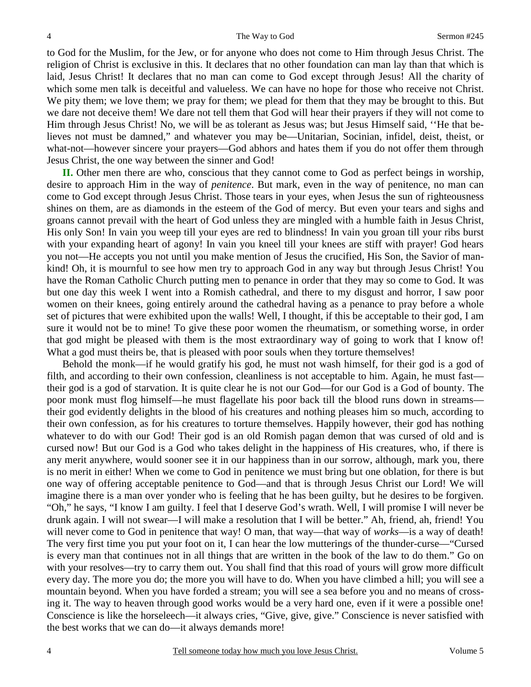to God for the Muslim, for the Jew, or for anyone who does not come to Him through Jesus Christ. The religion of Christ is exclusive in this. It declares that no other foundation can man lay than that which is laid, Jesus Christ! It declares that no man can come to God except through Jesus! All the charity of which some men talk is deceitful and valueless. We can have no hope for those who receive not Christ. We pity them; we love them; we pray for them; we plead for them that they may be brought to this. But we dare not deceive them! We dare not tell them that God will hear their prayers if they will not come to Him through Jesus Christ! No, we will be as tolerant as Jesus was; but Jesus Himself said, ''He that believes not must be damned," and whatever you may be—Unitarian, Socinian, infidel, deist, theist, or what-not—however sincere your prayers—God abhors and hates them if you do not offer them through Jesus Christ, the one way between the sinner and God!

**II.** Other men there are who, conscious that they cannot come to God as perfect beings in worship, desire to approach Him in the way of *penitence*. But mark, even in the way of penitence, no man can come to God except through Jesus Christ. Those tears in your eyes, when Jesus the sun of righteousness shines on them, are as diamonds in the esteem of the God of mercy. But even your tears and sighs and groans cannot prevail with the heart of God unless they are mingled with a humble faith in Jesus Christ, His only Son! In vain you weep till your eyes are red to blindness! In vain you groan till your ribs burst with your expanding heart of agony! In vain you kneel till your knees are stiff with prayer! God hears you not—He accepts you not until you make mention of Jesus the crucified, His Son, the Savior of mankind! Oh, it is mournful to see how men try to approach God in any way but through Jesus Christ! You have the Roman Catholic Church putting men to penance in order that they may so come to God. It was but one day this week I went into a Romish cathedral, and there to my disgust and horror, I saw poor women on their knees, going entirely around the cathedral having as a penance to pray before a whole set of pictures that were exhibited upon the walls! Well, I thought, if this be acceptable to their god, I am sure it would not be to mine! To give these poor women the rheumatism, or something worse, in order that god might be pleased with them is the most extraordinary way of going to work that I know of! What a god must theirs be, that is pleased with poor souls when they torture themselves!

Behold the monk—if he would gratify his god, he must not wash himself, for their god is a god of filth, and according to their own confession, cleanliness is not acceptable to him. Again, he must fast their god is a god of starvation. It is quite clear he is not our God—for our God is a God of bounty. The poor monk must flog himself—he must flagellate his poor back till the blood runs down in streams their god evidently delights in the blood of his creatures and nothing pleases him so much, according to their own confession, as for his creatures to torture themselves. Happily however, their god has nothing whatever to do with our God! Their god is an old Romish pagan demon that was cursed of old and is cursed now! But our God is a God who takes delight in the happiness of His creatures, who, if there is any merit anywhere, would sooner see it in our happiness than in our sorrow, although, mark you, there is no merit in either! When we come to God in penitence we must bring but one oblation, for there is but one way of offering acceptable penitence to God—and that is through Jesus Christ our Lord! We will imagine there is a man over yonder who is feeling that he has been guilty, but he desires to be forgiven. "Oh," he says, "I know I am guilty. I feel that I deserve God's wrath. Well, I will promise I will never be drunk again. I will not swear—I will make a resolution that I will be better." Ah, friend, ah, friend! You will never come to God in penitence that way! O man, that way—that way of *works*—is a way of death! The very first time you put your foot on it, I can hear the low mutterings of the thunder-curse—"Cursed is every man that continues not in all things that are written in the book of the law to do them." Go on with your resolves—try to carry them out. You shall find that this road of yours will grow more difficult every day. The more you do; the more you will have to do. When you have climbed a hill; you will see a mountain beyond. When you have forded a stream; you will see a sea before you and no means of crossing it. The way to heaven through good works would be a very hard one, even if it were a possible one! Conscience is like the horseleech—it always cries, "Give, give, give." Conscience is never satisfied with the best works that we can do—it always demands more!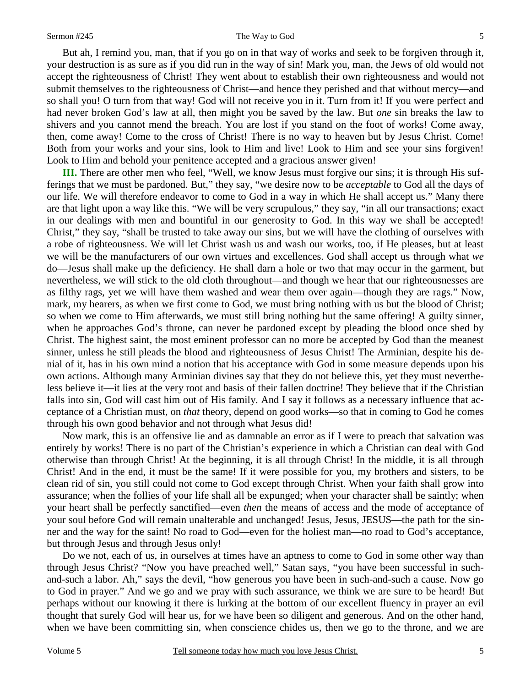#### Sermon #245 The Way to God

But ah, I remind you, man, that if you go on in that way of works and seek to be forgiven through it, your destruction is as sure as if you did run in the way of sin! Mark you, man, the Jews of old would not accept the righteousness of Christ! They went about to establish their own righteousness and would not submit themselves to the righteousness of Christ—and hence they perished and that without mercy—and so shall you! O turn from that way! God will not receive you in it. Turn from it! If you were perfect and had never broken God's law at all, then might you be saved by the law. But *one* sin breaks the law to shivers and you cannot mend the breach. You are lost if you stand on the foot of works! Come away, then, come away! Come to the cross of Christ! There is no way to heaven but by Jesus Christ. Come! Both from your works and your sins, look to Him and live! Look to Him and see your sins forgiven! Look to Him and behold your penitence accepted and a gracious answer given!

**III.** There are other men who feel, "Well, we know Jesus must forgive our sins; it is through His sufferings that we must be pardoned. But," they say, "we desire now to be *acceptable* to God all the days of our life. We will therefore endeavor to come to God in a way in which He shall accept us." Many there are that light upon a way like this. "We will be very scrupulous," they say, "in all our transactions; exact in our dealings with men and bountiful in our generosity to God. In this way we shall be accepted! Christ," they say, "shall be trusted to take away our sins, but we will have the clothing of ourselves with a robe of righteousness. We will let Christ wash us and wash our works, too, if He pleases, but at least we will be the manufacturers of our own virtues and excellences. God shall accept us through what *we* do—Jesus shall make up the deficiency. He shall darn a hole or two that may occur in the garment, but nevertheless, we will stick to the old cloth throughout—and though we hear that our righteousnesses are as filthy rags, yet we will have them washed and wear them over again—though they are rags." Now, mark, my hearers, as when we first come to God, we must bring nothing with us but the blood of Christ; so when we come to Him afterwards, we must still bring nothing but the same offering! A guilty sinner, when he approaches God's throne, can never be pardoned except by pleading the blood once shed by Christ. The highest saint, the most eminent professor can no more be accepted by God than the meanest sinner, unless he still pleads the blood and righteousness of Jesus Christ! The Arminian, despite his denial of it, has in his own mind a notion that his acceptance with God in some measure depends upon his own actions. Although many Arminian divines say that they do not believe this, yet they must nevertheless believe it—it lies at the very root and basis of their fallen doctrine! They believe that if the Christian falls into sin, God will cast him out of His family. And I say it follows as a necessary influence that acceptance of a Christian must, on *that* theory, depend on good works—so that in coming to God he comes through his own good behavior and not through what Jesus did!

Now mark, this is an offensive lie and as damnable an error as if I were to preach that salvation was entirely by works! There is no part of the Christian's experience in which a Christian can deal with God otherwise than through Christ! At the beginning, it is all through Christ! In the middle, it is all through Christ! And in the end, it must be the same! If it were possible for you, my brothers and sisters, to be clean rid of sin, you still could not come to God except through Christ. When your faith shall grow into assurance; when the follies of your life shall all be expunged; when your character shall be saintly; when your heart shall be perfectly sanctified—even *then* the means of access and the mode of acceptance of your soul before God will remain unalterable and unchanged! Jesus, Jesus, JESUS—the path for the sinner and the way for the saint! No road to God—even for the holiest man—no road to God's acceptance, but through Jesus and through Jesus only!

Do we not, each of us, in ourselves at times have an aptness to come to God in some other way than through Jesus Christ? "Now you have preached well," Satan says, "you have been successful in suchand-such a labor. Ah," says the devil, "how generous you have been in such-and-such a cause. Now go to God in prayer." And we go and we pray with such assurance, we think we are sure to be heard! But perhaps without our knowing it there is lurking at the bottom of our excellent fluency in prayer an evil thought that surely God will hear us, for we have been so diligent and generous. And on the other hand, when we have been committing sin, when conscience chides us, then we go to the throne, and we are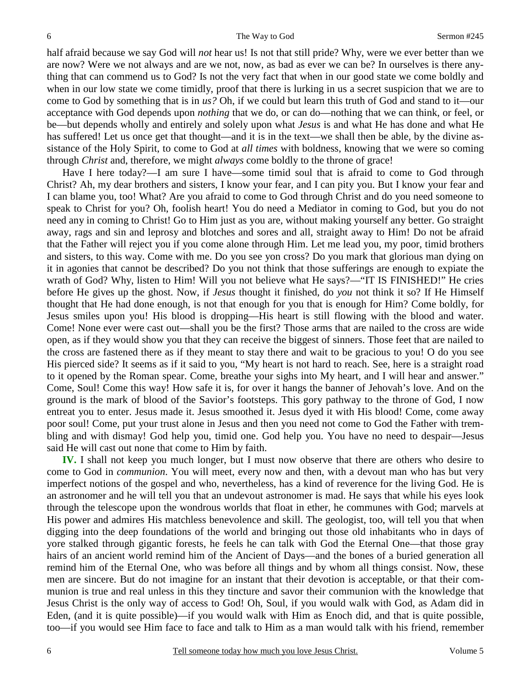half afraid because we say God will *not* hear us! Is not that still pride? Why, were we ever better than we are now? Were we not always and are we not, now, as bad as ever we can be? In ourselves is there anything that can commend us to God? Is not the very fact that when in our good state we come boldly and when in our low state we come timidly, proof that there is lurking in us a secret suspicion that we are to come to God by something that is in *us?* Oh, if we could but learn this truth of God and stand to it—our acceptance with God depends upon *nothing* that we do, or can do—nothing that we can think, or feel, or be—but depends wholly and entirely and solely upon what *Jesus* is and what He has done and what He has suffered! Let us once get that thought—and it is in the text—we shall then be able, by the divine assistance of the Holy Spirit, to come to God at *all times* with boldness, knowing that we were so coming through *Christ* and, therefore, we might *always* come boldly to the throne of grace!

Have I here today?—I am sure I have—some timid soul that is afraid to come to God through Christ? Ah, my dear brothers and sisters, I know your fear, and I can pity you. But I know your fear and I can blame you, too! What? Are you afraid to come to God through Christ and do you need someone to speak to Christ for you? Oh, foolish heart! You do need a Mediator in coming to God, but you do not need any in coming to Christ! Go to Him just as you are, without making yourself any better. Go straight away, rags and sin and leprosy and blotches and sores and all, straight away to Him! Do not be afraid that the Father will reject you if you come alone through Him. Let me lead you, my poor, timid brothers and sisters, to this way. Come with me. Do you see yon cross? Do you mark that glorious man dying on it in agonies that cannot be described? Do you not think that those sufferings are enough to expiate the wrath of God? Why, listen to Him! Will you not believe what He says?—"IT IS FINISHED!" He cries before He gives up the ghost. Now, if *Jesus* thought it finished, do *you* not think it so? If He Himself thought that He had done enough, is not that enough for you that is enough for Him? Come boldly, for Jesus smiles upon you! His blood is dropping—His heart is still flowing with the blood and water. Come! None ever were cast out—shall you be the first? Those arms that are nailed to the cross are wide open, as if they would show you that they can receive the biggest of sinners. Those feet that are nailed to the cross are fastened there as if they meant to stay there and wait to be gracious to you! O do you see His pierced side? It seems as if it said to you, "My heart is not hard to reach. See, here is a straight road to it opened by the Roman spear. Come, breathe your sighs into My heart, and I will hear and answer." Come, Soul! Come this way! How safe it is, for over it hangs the banner of Jehovah's love. And on the ground is the mark of blood of the Savior's footsteps. This gory pathway to the throne of God, I now entreat you to enter. Jesus made it. Jesus smoothed it. Jesus dyed it with His blood! Come, come away poor soul! Come, put your trust alone in Jesus and then you need not come to God the Father with trembling and with dismay! God help you, timid one. God help you. You have no need to despair—Jesus said He will cast out none that come to Him by faith.

**IV.** I shall not keep you much longer, but I must now observe that there are others who desire to come to God in *communion*. You will meet, every now and then, with a devout man who has but very imperfect notions of the gospel and who, nevertheless, has a kind of reverence for the living God. He is an astronomer and he will tell you that an undevout astronomer is mad. He says that while his eyes look through the telescope upon the wondrous worlds that float in ether, he communes with God; marvels at His power and admires His matchless benevolence and skill. The geologist, too, will tell you that when digging into the deep foundations of the world and bringing out those old inhabitants who in days of yore stalked through gigantic forests, he feels he can talk with God the Eternal One—that those gray hairs of an ancient world remind him of the Ancient of Days—and the bones of a buried generation all remind him of the Eternal One, who was before all things and by whom all things consist. Now, these men are sincere. But do not imagine for an instant that their devotion is acceptable, or that their communion is true and real unless in this they tincture and savor their communion with the knowledge that Jesus Christ is the only way of access to God! Oh, Soul, if you would walk with God, as Adam did in Eden, (and it is quite possible)—if you would walk with Him as Enoch did, and that is quite possible, too—if you would see Him face to face and talk to Him as a man would talk with his friend, remember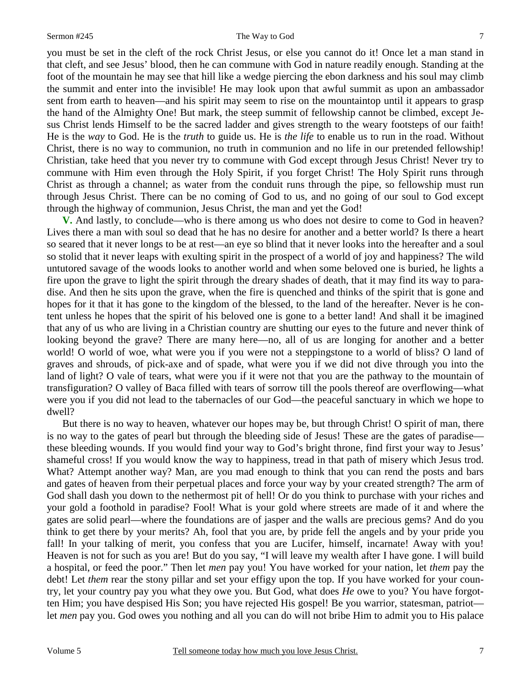you must be set in the cleft of the rock Christ Jesus, or else you cannot do it! Once let a man stand in that cleft, and see Jesus' blood, then he can commune with God in nature readily enough. Standing at the foot of the mountain he may see that hill like a wedge piercing the ebon darkness and his soul may climb the summit and enter into the invisible! He may look upon that awful summit as upon an ambassador sent from earth to heaven—and his spirit may seem to rise on the mountaintop until it appears to grasp the hand of the Almighty One! But mark, the steep summit of fellowship cannot be climbed, except Jesus Christ lends Himself to be the sacred ladder and gives strength to the weary footsteps of our faith! He is the *way* to God. He is the *truth* to guide us. He is *the life* to enable us to run in the road. Without Christ, there is no way to communion, no truth in communion and no life in our pretended fellowship! Christian, take heed that you never try to commune with God except through Jesus Christ! Never try to commune with Him even through the Holy Spirit, if you forget Christ! The Holy Spirit runs through Christ as through a channel; as water from the conduit runs through the pipe, so fellowship must run through Jesus Christ. There can be no coming of God to us, and no going of our soul to God except through the highway of communion, Jesus Christ, the man and yet the God!

**V.** And lastly, to conclude—who is there among us who does not desire to come to God in heaven? Lives there a man with soul so dead that he has no desire for another and a better world? Is there a heart so seared that it never longs to be at rest—an eye so blind that it never looks into the hereafter and a soul so stolid that it never leaps with exulting spirit in the prospect of a world of joy and happiness? The wild untutored savage of the woods looks to another world and when some beloved one is buried, he lights a fire upon the grave to light the spirit through the dreary shades of death, that it may find its way to paradise. And then he sits upon the grave, when the fire is quenched and thinks of the spirit that is gone and hopes for it that it has gone to the kingdom of the blessed, to the land of the hereafter. Never is he content unless he hopes that the spirit of his beloved one is gone to a better land! And shall it be imagined that any of us who are living in a Christian country are shutting our eyes to the future and never think of looking beyond the grave? There are many here—no, all of us are longing for another and a better world! O world of woe, what were you if you were not a steppingstone to a world of bliss? O land of graves and shrouds, of pick-axe and of spade, what were you if we did not dive through you into the land of light? O vale of tears, what were you if it were not that you are the pathway to the mountain of transfiguration? O valley of Baca filled with tears of sorrow till the pools thereof are overflowing—what were you if you did not lead to the tabernacles of our God—the peaceful sanctuary in which we hope to dwell?

But there is no way to heaven, whatever our hopes may be, but through Christ! O spirit of man, there is no way to the gates of pearl but through the bleeding side of Jesus! These are the gates of paradise these bleeding wounds. If you would find your way to God's bright throne, find first your way to Jesus' shameful cross! If you would know the way to happiness, tread in that path of misery which Jesus trod. What? Attempt another way? Man, are you mad enough to think that you can rend the posts and bars and gates of heaven from their perpetual places and force your way by your created strength? The arm of God shall dash you down to the nethermost pit of hell! Or do you think to purchase with your riches and your gold a foothold in paradise? Fool! What is your gold where streets are made of it and where the gates are solid pearl—where the foundations are of jasper and the walls are precious gems? And do you think to get there by your merits? Ah, fool that you are, by pride fell the angels and by your pride you fall! In your talking of merit, you confess that you are Lucifer, himself, incarnate! Away with you! Heaven is not for such as you are! But do you say, "I will leave my wealth after I have gone. I will build a hospital, or feed the poor." Then let *men* pay you! You have worked for your nation, let *them* pay the debt! Let *them* rear the stony pillar and set your effigy upon the top. If you have worked for your country, let your country pay you what they owe you. But God, what does *He* owe to you? You have forgotten Him; you have despised His Son; you have rejected His gospel! Be you warrior, statesman, patriot let *men* pay you. God owes you nothing and all you can do will not bribe Him to admit you to His palace